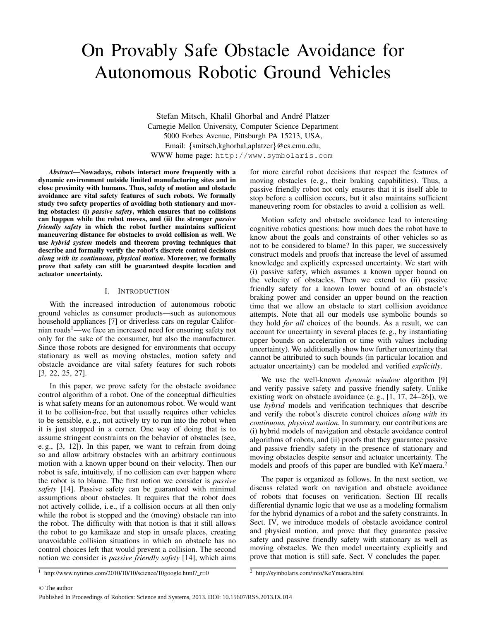# On Provably Safe Obstacle Avoidance for Autonomous Robotic Ground Vehicles

Stefan Mitsch, Khalil Ghorbal and André Platzer Carnegie Mellon University, Computer Science Department 5000 Forbes Avenue, Pittsburgh PA 15213, USA, Email: {smitsch,kghorbal,aplatzer}@cs.cmu.edu, WWW home page: http://www.symbolaris.com

*Abstract*—Nowadays, robots interact more frequently with a dynamic environment outside limited manufacturing sites and in close proximity with humans. Thus, safety of motion and obstacle avoidance are vital safety features of such robots. We formally study two safety properties of avoiding both stationary and moving obstacles: (i) *passive safety*, which ensures that no collisions can happen while the robot moves, and (ii) the stronger *passive friendly safety* in which the robot further maintains sufficient maneuvering distance for obstacles to avoid collision as well. We use *hybrid system* models and theorem proving techniques that describe and formally verify the robot's discrete control decisions *along with its continuous, physical motion*. Moreover, we formally prove that safety can still be guaranteed despite location and actuator uncertainty.

#### I. INTRODUCTION

With the increased introduction of autonomous robotic ground vehicles as consumer products—such as autonomous household appliances [7] or driverless cars on regular Californian roads<sup>1</sup>—we face an increased need for ensuring safety not only for the sake of the consumer, but also the manufacturer. Since those robots are designed for environments that occupy stationary as well as moving obstacles, motion safety and obstacle avoidance are vital safety features for such robots [3, 22, 25, 27].

In this paper, we prove safety for the obstacle avoidance control algorithm of a robot. One of the conceptual difficulties is what safety means for an autonomous robot. We would want it to be collision-free, but that usually requires other vehicles to be sensible, e. g., not actively try to run into the robot when it is just stopped in a corner. One way of doing that is to assume stringent constraints on the behavior of obstacles (see, e. g., [3, 12]). In this paper, we want to refrain from doing so and allow arbitrary obstacles with an arbitrary continuous motion with a known upper bound on their velocity. Then our robot is safe, intuitively, if no collision can ever happen where the robot is to blame. The first notion we consider is *passive safety* [14]. Passive safety can be guaranteed with minimal assumptions about obstacles. It requires that the robot does not actively collide, i. e., if a collision occurs at all then only while the robot is stopped and the (moving) obstacle ran into the robot. The difficulty with that notion is that it still allows the robot to go kamikaze and stop in unsafe places, creating unavoidable collision situations in which an obstacle has no control choices left that would prevent a collision. The second notion we consider is *passive friendly safety* [14], which aims for more careful robot decisions that respect the features of moving obstacles (e. g., their braking capabilities). Thus, a passive friendly robot not only ensures that it is itself able to stop before a collision occurs, but it also maintains sufficient maneuvering room for obstacles to avoid a collision as well.

Motion safety and obstacle avoidance lead to interesting cognitive robotics questions: how much does the robot have to know about the goals and constraints of other vehicles so as not to be considered to blame? In this paper, we successively construct models and proofs that increase the level of assumed knowledge and explicitly expressed uncertainty. We start with (i) passive safety, which assumes a known upper bound on the velocity of obstacles. Then we extend to (ii) passive friendly safety for a known lower bound of an obstacle's braking power and consider an upper bound on the reaction time that we allow an obstacle to start collision avoidance attempts. Note that all our models use symbolic bounds so they hold *for all* choices of the bounds. As a result, we can account for uncertainty in several places (e. g., by instantiating upper bounds on acceleration or time with values including uncertainty). We additionally show how further uncertainty that cannot be attributed to such bounds (in particular location and actuator uncertainty) can be modeled and verified *explicitly*.

We use the well-known *dynamic window* algorithm [9] and verify passive safety and passive friendly safety. Unlike existing work on obstacle avoidance (e. g., [1, 17, 24–26]), we use *hybrid* models and verification techniques that describe and verify the robot's discrete control choices *along with its continuous, physical motion*. In summary, our contributions are (i) hybrid models of navigation and obstacle avoidance control algorithms of robots, and (ii) proofs that they guarantee passive and passive friendly safety in the presence of stationary and moving obstacles despite sensor and actuator uncertainty. The models and proofs of this paper are bundled with KeYmaera.<sup>2</sup>

The paper is organized as follows. In the next section, we discuss related work on navigation and obstacle avoidance of robots that focuses on verification. Section III recalls differential dynamic logic that we use as a modeling formalism for the hybrid dynamics of a robot and the safety constraints. In Sect. IV, we introduce models of obstacle avoidance control and physical motion, and prove that they guarantee passive safety and passive friendly safety with stationary as well as moving obstacles. We then model uncertainty explicitly and prove that motion is still safe. Sect. V concludes the paper.

 $\frac{1}{1}$  http://www.nytimes.com/2010/10/10/science/10google.html?\_r=0

 $\frac{2}{2}$  http://symbolaris.com/info/KeYmaera.html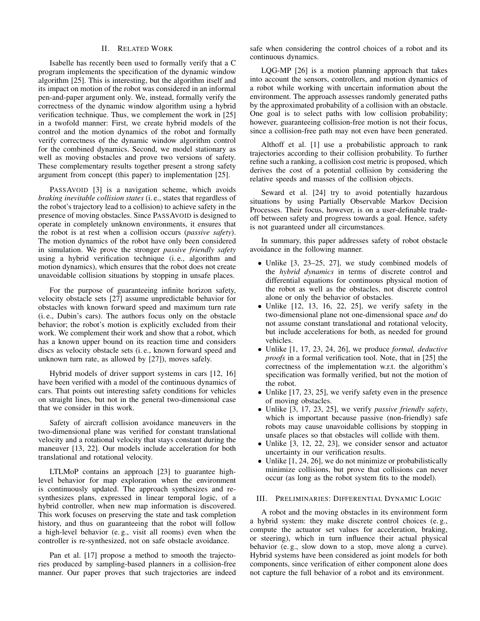# II. RELATED WORK

Isabelle has recently been used to formally verify that a C program implements the specification of the dynamic window algorithm [25]. This is interesting, but the algorithm itself and its impact on motion of the robot was considered in an informal pen-and-paper argument only. We, instead, formally verify the correctness of the dynamic window algorithm using a hybrid verification technique. Thus, we complement the work in [25] in a twofold manner: First, we create hybrid models of the control and the motion dynamics of the robot and formally verify correctness of the dynamic window algorithm control for the combined dynamics. Second, we model stationary as well as moving obstacles and prove two versions of safety. These complementary results together present a strong safety argument from concept (this paper) to implementation [25].

PASSAVOID [3] is a navigation scheme, which avoids *braking inevitable collision states* (i. e., states that regardless of the robot's trajectory lead to a collision) to achieve safety in the presence of moving obstacles. Since PASSAVOID is designed to operate in completely unknown environments, it ensures that the robot is at rest when a collision occurs (*passive safety*). The motion dynamics of the robot have only been considered in simulation. We prove the stronger *passive friendly safety* using a hybrid verification technique (i. e., algorithm and motion dynamics), which ensures that the robot does not create unavoidable collision situations by stopping in unsafe places.

For the purpose of guaranteeing infinite horizon safety, velocity obstacle sets [27] assume unpredictable behavior for obstacles with known forward speed and maximum turn rate (i. e., Dubin's cars). The authors focus only on the obstacle behavior; the robot's motion is explicitly excluded from their work. We complement their work and show that a robot, which has a known upper bound on its reaction time and considers discs as velocity obstacle sets (i. e., known forward speed and unknown turn rate, as allowed by [27]), moves safely.

Hybrid models of driver support systems in cars [12, 16] have been verified with a model of the continuous dynamics of cars. That points out interesting safety conditions for vehicles on straight lines, but not in the general two-dimensional case that we consider in this work.

Safety of aircraft collision avoidance maneuvers in the two-dimensional plane was verified for constant translational velocity and a rotational velocity that stays constant during the maneuver [13, 22]. Our models include acceleration for both translational and rotational velocity.

LTLMoP contains an approach [23] to guarantee highlevel behavior for map exploration when the environment is continuously updated. The approach synthesizes and resynthesizes plans, expressed in linear temporal logic, of a hybrid controller, when new map information is discovered. This work focuses on preserving the state and task completion history, and thus on guaranteeing that the robot will follow a high-level behavior (e. g., visit all rooms) even when the controller is re-synthesized, not on safe obstacle avoidance.

Pan et al. [17] propose a method to smooth the trajectories produced by sampling-based planners in a collision-free manner. Our paper proves that such trajectories are indeed safe when considering the control choices of a robot and its continuous dynamics.

LQG-MP [26] is a motion planning approach that takes into account the sensors, controllers, and motion dynamics of a robot while working with uncertain information about the environment. The approach assesses randomly generated paths by the approximated probability of a collision with an obstacle. One goal is to select paths with low collision probability; however, guaranteeing collision-free motion is not their focus, since a collision-free path may not even have been generated.

Althoff et al. [1] use a probabilistic approach to rank trajectories according to their collision probability. To further refine such a ranking, a collision cost metric is proposed, which derives the cost of a potential collision by considering the relative speeds and masses of the collision objects.

Seward et al. [24] try to avoid potentially hazardous situations by using Partially Observable Markov Decision Processes. Their focus, however, is on a user-definable tradeoff between safety and progress towards a goal. Hence, safety is not guaranteed under all circumstances.

In summary, this paper addresses safety of robot obstacle avoidance in the following manner.

- Unlike [3, 23–25, 27], we study combined models of the *hybrid dynamics* in terms of discrete control and differential equations for continuous physical motion of the robot as well as the obstacles, not discrete control alone or only the behavior of obstacles.
- Unlike [12, 13, 16, 22, 25], we verify safety in the two-dimensional plane not one-dimensional space *and* do not assume constant translational and rotational velocity, but include accelerations for both, as needed for ground vehicles.
- Unlike [1, 17, 23, 24, 26], we produce *formal, deductive proofs* in a formal verification tool. Note, that in [25] the correctness of the implementation w.r.t. the algorithm's specification was formally verified, but not the motion of the robot.
- Unlike [17, 23, 25], we verify safety even in the presence of moving obstacles.
- Unlike [3, 17, 23, 25], we verify *passive friendly safety*, which is important because passive (non-friendly) safe robots may cause unavoidable collisions by stopping in unsafe places so that obstacles will collide with them.
- Unlike [3, 12, 22, 23], we consider sensor and actuator uncertainty in our verification results.
- Unlike [1, 24, 26], we do not minimize or probabilistically minimize collisions, but prove that collisions can never occur (as long as the robot system fits to the model).

#### III. PRELIMINARIES: DIFFERENTIAL DYNAMIC LOGIC

A robot and the moving obstacles in its environment form a hybrid system: they make discrete control choices (e. g., compute the actuator set values for acceleration, braking, or steering), which in turn influence their actual physical behavior (e. g., slow down to a stop, move along a curve). Hybrid systems have been considered as joint models for both components, since verification of either component alone does not capture the full behavior of a robot and its environment.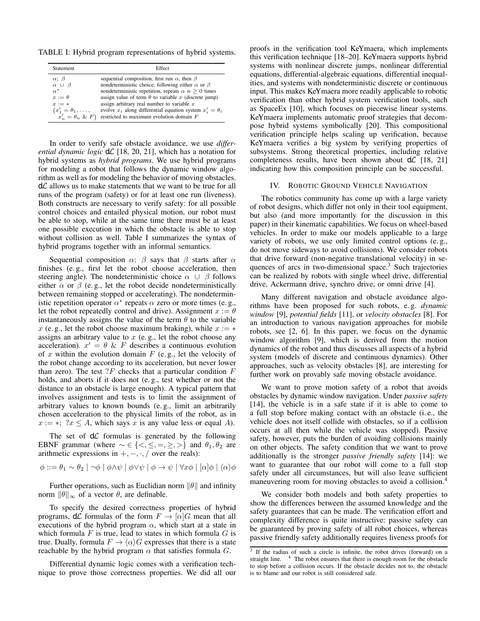TABLE I: Hybrid program representations of hybrid systems.

| <b>Statement</b>            | Effect                                                            |
|-----------------------------|-------------------------------------------------------------------|
| $\alpha$ ; $\beta$          | sequential composition, first run $\alpha$ , then $\beta$         |
| $\alpha \cup \beta$         | nondeterministic choice, following either $\alpha$ or $\beta$     |
| $\alpha^*$                  | nondeterministic repetition, repeats $\alpha$ $n > 0$ times       |
| $x := \theta$               | assign value of term $\theta$ to variable x (discrete jump)       |
| $x := *$                    | assign arbitrary real number to variable $x$                      |
| $(x'_1 = \theta_1, \ldots,$ | evolve $x_i$ along differential equation system $x'_i = \theta_i$ |
| $x'_n = \theta_n \& F$      | restricted to maximum evolution domain F                          |

In order to verify safe obstacle avoidance, we use *differential dynamic logic*  $d\mathcal{L}$  [18, 20, 21], which has a notation for hybrid systems as *hybrid programs*. We use hybrid programs for modeling a robot that follows the dynamic window algorithm as well as for modeling the behavior of moving obstacles.  $d\mathcal{L}$  allows us to make statements that we want to be true for all runs of the program (safety) or for at least one run (liveness). Both constructs are necessary to verify safety: for all possible control choices and entailed physical motion, our robot must be able to stop, while at the same time there must be at least one possible execution in which the obstacle is able to stop without collision as well. Table I summarizes the syntax of hybrid programs together with an informal semantics.

Sequential composition  $\alpha$ ;  $\beta$  says that  $\beta$  starts after  $\alpha$ finishes (e. g., first let the robot choose acceleration, then steering angle). The nondeterministic choice  $\alpha \cup \beta$  follows either  $\alpha$  or  $\beta$  (e.g., let the robot decide nondeterministically between remaining stopped or accelerating). The nondeterministic repetition operator  $\alpha^*$  repeats  $\alpha$  zero or more times (e.g., let the robot repeatedly control and drive). Assignment  $x := \theta$ instantaneously assigns the value of the term  $\theta$  to the variable x (e.g., let the robot choose maximum braking), while  $x := *$ assigns an arbitrary value to  $x$  (e.g., let the robot choose any acceleration).  $x' = \theta \& F$  describes a continuous evolution of x within the evolution domain  $F$  (e.g., let the velocity of the robot change according to its acceleration, but never lower than zero). The test  $?F$  checks that a particular condition  $F$ holds, and aborts if it does not (e. g., test whether or not the distance to an obstacle is large enough). A typical pattern that involves assignment and tests is to limit the assignment of arbitrary values to known bounds (e. g., limit an arbitrarily chosen acceleration to the physical limits of the robot, as in  $x := *; ?x \leq A$ , which says x is any value less or equal A).

The set of  $d\mathcal{L}$  formulas is generated by the following EBNF grammar (where  $\sim \in \{ \leq, \leq, =, \geq, \geq \}$  and  $\theta_1, \theta_2$  are arithmetic expressions in  $+,-, \cdot, /$  over the reals):

$$
\phi ::= \theta_1 \sim \theta_2 \mid \neg \phi \mid \phi \land \psi \mid \phi \lor \psi \mid \phi \rightarrow \psi \mid \forall x \phi \mid [\alpha] \phi \mid \langle \alpha \rangle \phi
$$

Further operations, such as Euclidian norm  $\|\theta\|$  and infinity norm  $\|\theta\|_{\infty}$  of a vector  $\theta$ , are definable.

To specify the desired correctness properties of hybrid programs,  $d\mathcal{L}$  formulas of the form  $F \to [\alpha]G$  mean that all executions of the hybrid program  $\alpha$ , which start at a state in which formula  $F$  is true, lead to states in which formula  $G$  is true. Dually, formula  $F \to \langle \alpha \rangle G$  expresses that there is a state reachable by the hybrid program  $\alpha$  that satisfies formula  $G$ .

Differential dynamic logic comes with a verification technique to prove those correctness properties. We did all our proofs in the verification tool KeYmaera, which implements this verification technique [18–20]. KeYmaera supports hybrid systems with nonlinear discrete jumps, nonlinear differential equations, differential-algebraic equations, differential inequalities, and systems with nondeterministic discrete or continuous input. This makes KeYmaera more readily applicable to robotic verification than other hybrid system verification tools, such as SpaceEx [10], which focuses on piecewise linear systems. KeYmaera implements automatic proof strategies that decompose hybrid systems symbolically [20]. This compositional verification principle helps scaling up verification, because KeYmaera verifies a big system by verifying properties of subsystems. Strong theoretical properties, including relative completeness results, have been shown about  $d\mathcal{L}$  [18, 21] indicating how this composition principle can be successful.

#### IV. ROBOTIC GROUND VEHICLE NAVIGATION

The robotics community has come up with a large variety of robot designs, which differ not only in their tool equipment, but also (and more importantly for the discussion in this paper) in their kinematic capabilities. We focus on wheel-based vehicles. In order to make our models applicable to a large variety of robots, we use only limited control options (e. g., do not move sideways to avoid collisions). We consider robots that drive forward (non-negative translational velocity) in sequences of arcs in two-dimensional space.<sup>3</sup> Such trajectories can be realized by robots with single wheel drive, differential drive, Ackermann drive, synchro drive, or omni drive [4].

Many different navigation and obstacle avoidance algorithms have been proposed for such robots, e. g. *dynamic window* [9], *potential fields* [11], or *velocity obstacles* [8]. For an introduction to various navigation approaches for mobile robots, see [2, 6]. In this paper, we focus on the dynamic window algorithm [9], which is derived from the motion dynamics of the robot and thus discusses all aspects of a hybrid system (models of discrete and continuous dynamics). Other approaches, such as velocity obstacles [8], are interesting for further work on provably safe moving obstacle avoidance.

We want to prove motion safety of a robot that avoids obstacles by dynamic window navigation. Under *passive safety* [14], the vehicle is in a safe state if it is able to come to a full stop before making contact with an obstacle (i. e., the vehicle does not itself collide with obstacles, so if a collision occurs at all then while the vehicle was stopped). Passive safety, however, puts the burden of avoiding collisions mainly on other objects. The safety condition that we want to prove additionally is the stronger *passive friendly safety* [14]: we want to guarantee that our robot will come to a full stop safely under all circumstances, but will also leave sufficient maneuvering room for moving obstacles to avoid a collision.<sup>4</sup>

We consider both models and both safety properties to show the differences between the assumed knowledge and the safety guarantees that can be made. The verification effort and complexity difference is quite instructive: passive safety can be guaranteed by proving safety of all robot choices, whereas passive friendly safety additionally requires liveness proofs for

<sup>&</sup>lt;sup>3</sup> If the radius of such a circle is infinite, the robot drives (forward) on a straight line. <sup>4</sup> The robot ensures that there is enough room for the obstacle to stop before a collision occurs. If the obstacle decides not to, the obstacle is to blame and our robot is still considered safe.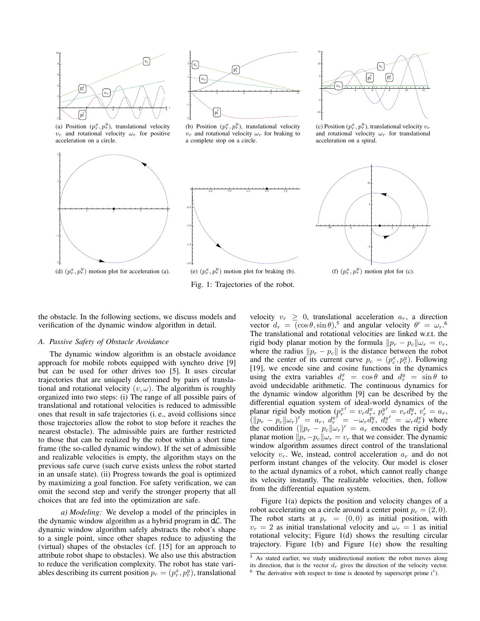

(a) Position  $(p_r^x, p_r^y)$ , translational velocity  $v_r$  and rotational velocity  $\omega_r$  for positive acceleration on a circle.

t





(b) Position  $(p_r^x, p_r^y)$ , translational velocity  $v_r$  and rotational velocity  $\omega_r$  for braking to a complete stop on a circle.



Fig. 1: Trajectories of the robot.

 $2^2$  4 \ 6 \ / 8 | 10 \ 12  $-10$ -5 5 F 10  $p_r^x$  |  $p_r^y$ y 1  $\mathbf{v}_{\rm r}$ wr

15 r

(c) Position  $(p_r^x, p_r^y)$ , translational velocity  $v_r$ and rotational velocity  $\omega_r$  for translational acceleration on a spiral.



(f)  $(p_r^x, p_r^y)$  motion plot for (c).

the obstacle. In the following sections, we discuss models and verification of the dynamic window algorithm in detail.

#### *A. Passive Safety of Obstacle Avoidance*

The dynamic window algorithm is an obstacle avoidance approach for mobile robots equipped with synchro drive [9] but can be used for other drives too [5]. It uses circular trajectories that are uniquely determined by pairs of translational and rotational velocity  $(v, \omega)$ . The algorithm is roughly organized into two steps: (i) The range of all possible pairs of translational and rotational velocities is reduced to admissible ones that result in safe trajectories (i. e., avoid collisions since those trajectories allow the robot to stop before it reaches the nearest obstacle). The admissible pairs are further restricted to those that can be realized by the robot within a short time frame (the so-called dynamic window). If the set of admissible and realizable velocities is empty, the algorithm stays on the previous safe curve (such curve exists unless the robot started in an unsafe state). (ii) Progress towards the goal is optimized by maximizing a goal function. For safety verification, we can omit the second step and verify the stronger property that all choices that are fed into the optimization are safe.

*a) Modeling:* We develop a model of the principles in the dynamic window algorithm as a hybrid program in  $d\mathcal{L}$ . The dynamic window algorithm safely abstracts the robot's shape to a single point, since other shapes reduce to adjusting the (virtual) shapes of the obstacles (cf. [15] for an approach to attribute robot shape to obstacles). We also use this abstraction to reduce the verification complexity. The robot has state variables describing its current position  $p_r = (p_r^x, p_r^y)$ , translational

velocity  $v_r \geq 0$ , translational acceleration  $a_r$ , a direction vector  $d_r = (\cos \theta, \sin \theta)$ ,<sup>5</sup> and angular velocity  $\theta' = \omega_r$ .<sup>6</sup> The translational and rotational velocities are linked w.r.t. the rigid body planar motion by the formula  $||p_r - p_c|| \omega_r = v_r$ , where the radius  $\|p_r - p_c\|$  is the distance between the robot and the center of its current curve  $p_c = (p_c^x, p_c^y)$ . Following [19], we encode sine and cosine functions in the dynamics using the extra variables  $d_r^x = \cos \theta$  and  $d_r^y = \sin \theta$  to avoid undecidable arithmetic. The continuous dynamics for the dynamic window algorithm [9] can be described by the differential equation system of ideal-world dynamics of the planar rigid body motion  $(p_r^{x'} = v_r d_r^x, p_r^{y'} = v_r d_r^y, v_r' = a_r,$  $\left(\|p_r - p_c\|\omega_r\right)' = a_r, \ d_r^{\bar{x}'} = -\omega_r \dot{d}_r^{\bar{y}}, \ d_r^{\bar{y}'} = \omega_r \dot{d}_r^{\bar{x}}$  where the condition  $(\Vert p_r - p_c \Vert \omega_r)' = a_r$  encodes the rigid body planar motion  $||p_r-p_c||\omega_r = v_r$  that we consider. The dynamic window algorithm assumes direct control of the translational velocity  $v_r$ . We, instead, control acceleration  $a_r$  and do not perform instant changes of the velocity. Our model is closer to the actual dynamics of a robot, which cannot really change its velocity instantly. The realizable velocities, then, follow from the differential equation system.

Figure 1(a) depicts the position and velocity changes of a robot accelerating on a circle around a center point  $p_c = (2, 0)$ . The robot starts at  $p_r = (0, 0)$  as initial position, with  $v_r = 2$  as initial translational velocity and  $\omega_r = 1$  as initial rotational velocity; Figure 1(d) shows the resulting circular trajectory. Figure 1(b) and Figure 1(e) show the resulting

 $5$  As stated earlier, we study unidirectional motion: the robot moves along its direction, that is the vector  $d_r$  gives the direction of the velocity vector.

 $6$  The derivative with respect to time is denoted by superscript prime  $(')$ .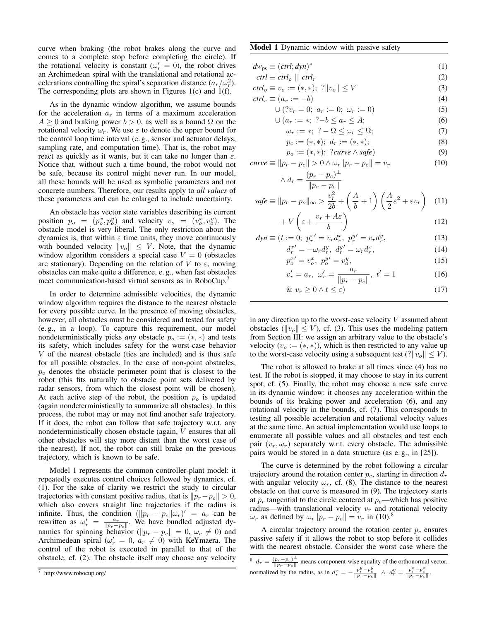curve when braking (the robot brakes along the curve and comes to a complete stop before completing the circle). If the rotational velocity is constant ( $\omega'_r = 0$ ), the robot drives an Archimedean spiral with the translational and rotational accelerations controlling the spiral's separation distance  $(a_r/\omega_r^2)$ . The corresponding plots are shown in Figures 1(c) and 1(f).

As in the dynamic window algorithm, we assume bounds for the acceleration  $a_r$  in terms of a maximum acceleration  $A > 0$  and braking power  $b > 0$ , as well as a bound  $\Omega$  on the rotational velocity  $\omega_r$ . We use  $\varepsilon$  to denote the upper bound for the control loop time interval (e. g., sensor and actuator delays, sampling rate, and computation time). That is, the robot may react as quickly as it wants, but it can take no longer than  $\varepsilon$ . Notice that, without such a time bound, the robot would not be safe, because its control might never run. In our model, all these bounds will be used as symbolic parameters and not concrete numbers. Therefore, our results apply to *all values* of these parameters and can be enlarged to include uncertainty.

An obstacle has vector state variables describing its current position  $p_o = (p_o^x, p_o^y)$  and velocity  $v_o = (v_o^x, v_o^y)$ . The obstacle model is very liberal. The only restriction about the dynamics is, that within  $\varepsilon$  time units, they move continuously with bounded velocity  $||v_o|| \leq V$ . Note, that the dynamic window algorithm considers a special case  $V = 0$  (obstacles are stationary). Depending on the relation of V to  $\varepsilon$ , moving obstacles can make quite a difference, e. g., when fast obstacles meet communication-based virtual sensors as in RoboCup.<sup>7</sup>

In order to determine admissible velocities, the dynamic window algorithm requires the distance to the nearest obstacle for every possible curve. In the presence of moving obstacles, however, all obstacles must be considered and tested for safety (e. g., in a loop). To capture this requirement, our model nondeterministically picks *any* obstacle  $p_o := (*, *)$  and tests its safety, which includes safety for the worst-case behavior V of the nearest obstacle (ties are included) and is thus safe for all possible obstacles. In the case of non-point obstacles,  $p<sub>o</sub>$  denotes the obstacle perimeter point that is closest to the robot (this fits naturally to obstacle point sets delivered by radar sensors, from which the closest point will be chosen). At each active step of the robot, the position  $p<sub>o</sub>$  is updated (again nondeterministically to summarize all obstacles). In this process, the robot may or may not find another safe trajectory. If it does, the robot can follow that safe trajectory w.r.t. any nondeterministically chosen obstacle (again, V ensures that all other obstacles will stay more distant than the worst case of the nearest). If not, the robot can still brake on the previous trajectory, which is known to be safe.

Model 1 represents the common controller-plant model: it repeatedly executes control choices followed by dynamics, cf. (1). For the sake of clarity we restrict the study to circular trajectories with constant positive radius, that is  $\|p_r-p_c\| > 0$ , which also covers straight line trajectories if the radius is infinite. Thus, the condition  $(\|p_r - p_c\|\omega_r)' = a_r$  can be rewritten as  $\omega'_r = \frac{a_r}{\|p_r - p_c\|}$ . We have bundled adjusted dynamics for spinning behavior ( $||p_r - p_c|| = 0$ ,  $\omega_r \neq 0$ ) and Archimedean spiral ( $\omega'_r = 0$ ,  $a_r \neq 0$ ) with KeYmaera. The control of the robot is executed in parallel to that of the obstacle, cf. (2). The obstacle itself may choose any velocity

# Model 1 Dynamic window with passive safety

 $safe$ 

- $dw_{\text{ps}} \equiv (ctrl; dyn)^*$ (1)
- $ctrl \equiv \text{ctrl}_o \mid \text{ctrl}_r$  (2)
- $ctrl_o \equiv v_o := (*, *)$ ; ? $||v_o|| \leq V$  (3)

$$
ctrl_r \equiv (a_r := -b) \tag{4}
$$

$$
\bigcup (?v_r = 0; \ a_r := 0; \ \omega_r := 0) \tag{5}
$$
  

$$
\bigcup (a_r := *; \ ^2 - b < a_r < A \tag{6}
$$

$$
\omega_r := *, \quad i \quad \omega \le \omega_r \le 1,
$$
  

$$
\omega_r := *; \quad ? - \Omega < \omega_r < \Omega;
$$
  

$$
\tag{7}
$$

$$
p_c := (*, *); \quad d_r := (*, *); \tag{8}
$$

$$
p_o := (*, *); ?curve \land safe)
$$
\n(9)

$$
curve \equiv ||p_r - p_c|| > 0 \land \omega_r ||p_r - p_c|| = v_r \tag{10}
$$

$$
\wedge d_r = \frac{(p_r - p_c)^{\perp}}{\|p_r - p_c\|}
$$
  

$$
\equiv \|p_r - p_o\|_{\infty} > \frac{v_r^2}{2!} + \left(\frac{A}{L} + 1\right) \left(\frac{A}{2} \varepsilon^2 + \varepsilon v_r\right)
$$
(11)

$$
- \frac{1}{2} p^2 \left( b + \frac{b}{2} \right) \left( 2 \left( 2 + \frac{c}{2} \right) \right)
$$
  
+ 
$$
V \left( \varepsilon + \frac{v_r + A \varepsilon}{b} \right)
$$
 (12)

$$
dyn \equiv (t := 0; \ p_r^{x'} = v_r d_r^{x'}, \ p_r^{y'} = v_r d_r^{y},
$$
  
\n
$$
d_r^{x'} = -\omega_r d_r^{y}, \ d_r^{y'} = \omega_r d_r^{x},
$$
\n(13)

$$
d_r^{x'} = -\omega_r d_r^y, \ d_r^{y'} = \omega_r d_r^x,
$$
  
\n
$$
p_o^{x'} = v_o^x, \ p_o^{y'} = v_o^y,
$$
\n(15)

$$
v'_{r} = a_{r}, \ \omega'_{r} = \frac{a_{r}}{\|p_{r} - p_{c}\|}, \ t' = 1 \tag{16}
$$

$$
\& v_r \ge 0 \land t \le \varepsilon) \tag{17}
$$

in any direction up to the worst-case velocity  $V$  assumed about obstacles ( $||v_o|| \leq V$ ), cf. (3). This uses the modeling pattern from Section III: we assign an arbitrary value to the obstacle's velocity  $(v<sub>o</sub> := (*, *))$ , which is then restricted to any value up to the worst-case velocity using a subsequent test  $(|v_o|| \le V)$ .

The robot is allowed to brake at all times since (4) has no test. If the robot is stopped, it may choose to stay in its current spot, cf. (5). Finally, the robot may choose a new safe curve in its dynamic window: it chooses any acceleration within the bounds of its braking power and acceleration (6), and any rotational velocity in the bounds, cf. (7). This corresponds to testing all possible acceleration and rotational velocity values at the same time. An actual implementation would use loops to enumerate all possible values and all obstacles and test each pair  $(v_r, \omega_r)$  separately w.r.t. every obstacle. The admissible pairs would be stored in a data structure (as e. g., in [25]).

The curve is determined by the robot following a circular trajectory around the rotation center  $p_c$ , starting in direction  $d_r$ with angular velocity  $\omega_r$ , cf. (8). The distance to the nearest obstacle on that curve is measured in (9). The trajectory starts at  $p_r$  tangential to the circle centered at  $p_c$ —which has positive radius—with translational velocity  $v_r$  and rotational velocity  $\omega_r$  as defined by  $\omega_r ||p_r - p_c|| = v_r$  in (10).<sup>8</sup>

A circular trajectory around the rotation center  $p_c$  ensures passive safety if it allows the robot to stop before it collides with the nearest obstacle. Consider the worst case where the

 $\frac{7}{7}$  http://www.robocup.org/

<sup>&</sup>lt;sup>8</sup>  $d_r = \frac{(p_r - p_c)^{\perp}}{\|p_r - p_c\|}$  means component-wise equality of the orthonormal vector, normalized by the radius, as in  $d_r^x = -\frac{p_r^y - p_c^y}{\|p_r - p_c\|} \wedge d_r^y = \frac{p_r^x - p_c^x}{\|p_r - p_c\|}$ .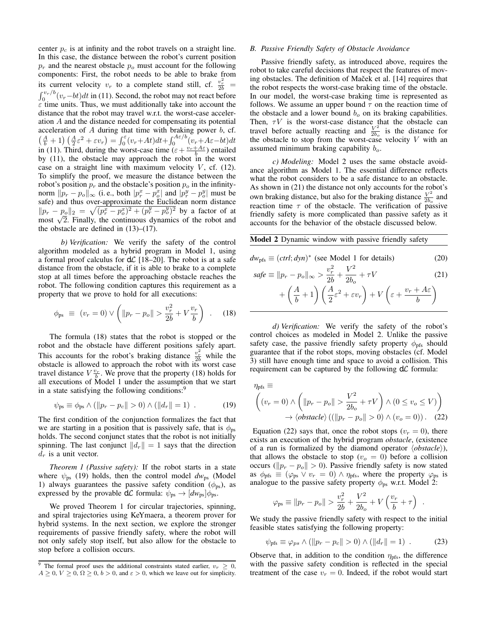center  $p_c$  is at infinity and the robot travels on a straight line. In this case, the distance between the robot's current position  $p_r$  and the nearest obstacle  $p_o$  must account for the following components: First, the robot needs to be able to brake from its current velocity  $v_r$  to a complete stand still, cf.  $\frac{v_r^2}{2b}$  =  $\int_0^{v_r/b} (v_r-bt)dt$  in (11). Second, the robot may not react before  $\varepsilon$  time units. Thus, we must additionally take into account the distance that the robot may travel w.r.t. the worst-case acceleration A and the distance needed for compensating its potential acceleration of  $A$  during that time with braking power  $b$ , cf.  $\left(\frac{A}{b}+1\right)\left(\frac{A}{2}\varepsilon^2+\varepsilon v_r\right)=\int_0^\varepsilon (v_r+A t)dt+\int_0^{A\varepsilon/b}(v_r+A\varepsilon-b t)dt$ in (11). Third, during the worst-case time  $(\varepsilon + \frac{v_r + A\varepsilon}{b})$  entailed by (11), the obstacle may approach the robot in the worst case on a straight line with maximum velocity  $V$ , cf. (12). To simplify the proof, we measure the distance between the robot's position  $p_r$  and the obstacle's position  $p_o$  in the infinitynorm  $\|\overline{p}_r - p_o\|_{\infty}$  (i.e., both  $|p_r^x - p_o^x|$  and  $|p_r^y - p_o^y|$  must be safe) and thus over-approximate the Euclidean norm distance  $||p_r - p_0||_2 = \sqrt{(p_r^x - p_o^x)^2 + (p_r^y - p_o^y)^2}$  by a factor of at  $||p_r - p_o||_2 = \sqrt{(p_r^2 - p_o^2)^2 + (p_r^2 - p_o^2)^2}$  by a factor of at most  $\sqrt{2}$ . Finally, the continuous dynamics of the robot and the obstacle are defined in  $(13)–(17)$ .

*b) Verification:* We verify the safety of the control algorithm modeled as a hybrid program in Model 1, using a formal proof calculus for  $d\mathcal{L}$  [18–20]. The robot is at a safe distance from the obstacle, if it is able to brake to a complete stop at all times before the approaching obstacle reaches the robot. The following condition captures this requirement as a property that we prove to hold for all executions:

$$
\phi_{\rm ps} \equiv (v_r = 0) \vee \left( \| p_r - p_o \| > \frac{v_r^2}{2b} + V \frac{v_r}{b} \right) . \tag{18}
$$

The formula (18) states that the robot is stopped or the robot and the obstacle have different positions safely apart. This accounts for the robot's braking distance  $\frac{v_r^2}{2b}$  while the obstacle is allowed to approach the robot with its worst case travel distance  $V \frac{v_r}{b}$ . We prove that the property (18) holds for all executions of Model 1 under the assumption that we start in a state satisfying the following conditions:<sup>9</sup>

$$
\psi_{\rm ps} \equiv \phi_{\rm ps} \wedge (\|p_r - p_c\| > 0) \wedge (\|d_r\| = 1) \ . \tag{19}
$$

The first condition of the conjunction formalizes the fact that we are starting in a position that is passively safe, that is  $\phi_{\text{ps}}$ holds. The second conjunct states that the robot is not initially spinning. The last conjunct  $||d_r|| = 1$  says that the direction  $d_r$  is a unit vector.

*Theorem 1 (Passive safety):* If the robot starts in a state where  $\psi_{\text{ps}}$  (19) holds, then the control model  $dw_{\text{ps}}$  (Model 1) always guarantees the passive safety condition ( $\phi_{ps}$ ), as expressed by the provable  $d\mathcal{L}$  formula:  $\psi_{ps} \rightarrow [dw_{ps}]\phi_{ps}$ .

We proved Theorem 1 for circular trajectories, spinning, and spiral trajectories using KeYmaera, a theorem prover for hybrid systems. In the next section, we explore the stronger requirements of passive friendly safety, where the robot will not only safely stop itself, but also allow for the obstacle to stop before a collision occurs.

#### *B. Passive Friendly Safety of Obstacle Avoidance*

Passive friendly safety, as introduced above, requires the robot to take careful decisions that respect the features of moving obstacles. The definition of Maček et al. [14] requires that the robot respects the worst-case braking time of the obstacle. In our model, the worst-case braking time is represented as follows. We assume an upper bound  $\tau$  on the reaction time of the obstacle and a lower bound  $b<sub>o</sub>$  on its braking capabilities. Then,  $\tau V$  is the worst-case distance that the obstacle can travel before actually reacting and  $\frac{V^2}{2h}$  $\frac{V^2}{2b_o}$  is the distance for the obstacle to stop from the worst-case velocity  $V$  with an assumed minimum braking capability  $b_{\alpha}$ .

*c) Modeling:* Model 2 uses the same obstacle avoidance algorithm as Model 1. The essential difference reflects what the robot considers to be a safe distance to an obstacle. As shown in (21) the distance not only accounts for the robot's own braking distance, but also for the braking distance  $\frac{V^2}{2h}$  $\frac{V}{2b_o}$  and reaction time  $\tau$  of the obstacle. The verification of passive friendly safety is more complicated than passive safety as it accounts for the behavior of the obstacle discussed below.

Model 2 Dynamic window with passive friendly safety

$$
dw_{\text{pfs}} \equiv (ctrl; dyn)^* \text{ (see Model 1 for details)}
$$
 (20)

$$
safe \equiv ||p_r - p_o||_{\infty} > \frac{v_r^2}{2b} + \frac{V^2}{2b_o} + \tau V
$$
\n
$$
+ \left(\frac{A}{b} + 1\right) \left(\frac{A}{2}\varepsilon^2 + \varepsilon v_r\right) + V\left(\varepsilon + \frac{v_r + A\varepsilon}{b}\right)
$$
\n(21)

*d) Verification:* We verify the safety of the robot's control choices as modeled in Model 2. Unlike the passive safety case, the passive friendly safety property  $\phi_{\text{pfs}}$  should guarantee that if the robot stops, moving obstacles (cf. Model 3) still have enough time and space to avoid a collision. This requirement can be captured by the following  $d\mathcal{L}$  formula:

$$
\eta_{\text{pfs}} \equiv
$$
\n
$$
\left( (v_r = 0) \land \left( \| p_r - p_o \| > \frac{V^2}{2b_o} + \tau V \right) \land (0 \le v_o \le V) \right)
$$
\n
$$
\to \langle \text{obstacle} \rangle \left( (\| p_r - p_o \| > 0) \land (v_o = 0) \right). \quad (22)
$$

Equation (22) says that, once the robot stops ( $v_r = 0$ ), there exists an execution of the hybrid program *obstacle*, (existence of a run is formalized by the diamond operator  $\langle obstacle \rangle$ ), that allows the obstacle to stop ( $v<sub>o</sub> = 0$ ) before a collision occurs ( $||p_r - p_o|| > 0$ ). Passive friendly safety is now stated as  $\phi_{\text{pfs}} \equiv (\varphi_{\text{ps}} \vee v_r = 0) \wedge \eta_{\text{pfs}}$ , where the property  $\varphi_{\text{ps}}$  is analogue to the passive safety property  $\phi_{\text{ps}}$  w.r.t. Model 2:

$$
\varphi_{\rm ps} \equiv ||p_r - p_o|| > \frac{v_r^2}{2b} + \frac{V^2}{2b_o} + V\left(\frac{v_r}{b} + \tau\right) .
$$

We study the passive friendly safety with respect to the initial feasible states satisfying the following property:

$$
\psi_{\text{pfs}} \equiv \varphi_{ps} \wedge (\|p_r - p_c\| > 0) \wedge (\|d_r\| = 1) \tag{23}
$$

Observe that, in addition to the condition  $\eta_{\text{pfs}}$ , the difference with the passive safety condition is reflected in the special treatment of the case  $v_r = 0$ . Indeed, if the robot would start

<sup>&</sup>lt;sup>9</sup> The formal proof uses the additional constraints stated earlier,  $v_r \geq 0$ ,  $A \geq 0, V \geq 0, \Omega \geq 0, b > 0$ , and  $\varepsilon > 0$ , which we leave out for simplicity.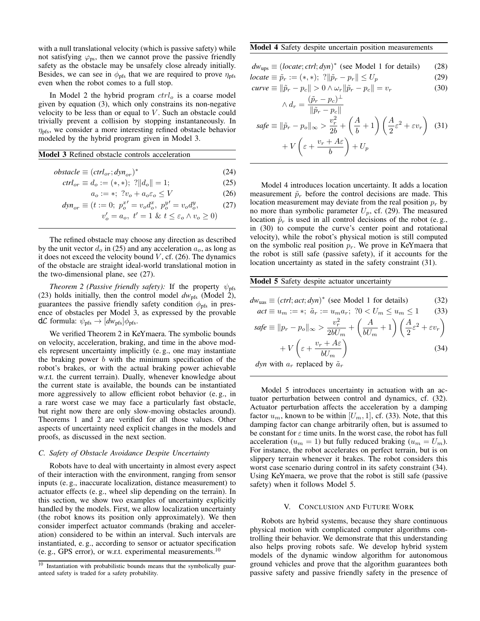with a null translational velocity (which is passive safety) while not satisfying  $\varphi_{\text{ps}}$ , then we cannot prove the passive friendly safety as the obstacle may be unsafely close already initially. Besides, we can see in  $\phi_{\text{pfs}}$  that we are required to prove  $\eta_{\text{pfs}}$ even when the robot comes to a full stop.

In Model 2 the hybrid program  $ctrl_o$  is a coarse model given by equation (3), which only constrains its non-negative velocity to be less than or equal to  $V$ . Such an obstacle could trivially prevent a collision by stopping instantaneously. In  $\eta_{\text{pfs}}$ , we consider a more interesting refined obstacle behavior modeled by the hybrid program given in Model 3.

#### Model 3 Refined obstacle controls acceleration

$$
obstack \equiv (ctrl_{or}; dyn_{or})^*
$$
\n(24)

$$
ctrl_{or} \equiv d_o := (*, *); \; ? \quad ||d_o|| = 1; \tag{25}
$$

$$
a_o := *; \; ?v_o + a_o \varepsilon_o \le V \tag{26}
$$

$$
dyn_{or} \equiv (t := 0; \ p_o^{x'} = v_o d_o^x, \ p_o^{y'} = v_o d_o^y, \tag{27}
$$

$$
v_o' = a_o, \ t' = 1 \& \ t \le \varepsilon_o \land v_o \ge 0)
$$

The refined obstacle may choose any direction as described by the unit vector  $d_o$  in (25) and any acceleration  $a_o$ , as long as it does not exceed the velocity bound  $V$ , cf. (26). The dynamics of the obstacle are straight ideal-world translational motion in the two-dimensional plane, see (27).

*Theorem 2 (Passive friendly safety):* If the property  $\psi_{\text{pfs}}$ (23) holds initially, then the control model  $dw_{\text{pfs}}$  (Model 2), guarantees the passive friendly safety condition  $\phi_{\text{pfs}}$  in presence of obstacles per Model 3, as expressed by the provable  $d\mathcal{L}$  formula:  $\psi_{\text{pfs}} \rightarrow [dw_{\text{pfs}}]\phi_{\text{pfs}}$ .

We verified Theorem 2 in KeYmaera. The symbolic bounds on velocity, acceleration, braking, and time in the above models represent uncertainty implicitly (e. g., one may instantiate the braking power  $b$  with the minimum specification of the robot's brakes, or with the actual braking power achievable w.r.t. the current terrain). Dually, whenever knowledge about the current state is available, the bounds can be instantiated more aggressively to allow efficient robot behavior (e. g., in a rare worst case we may face a particularly fast obstacle, but right now there are only slow-moving obstacles around). Theorems 1 and 2 are verified for all those values. Other aspects of uncertainty need explicit changes in the models and proofs, as discussed in the next section.

# *C. Safety of Obstacle Avoidance Despite Uncertainty*

Robots have to deal with uncertainty in almost every aspect of their interaction with the environment, ranging from sensor inputs (e. g., inaccurate localization, distance measurement) to actuator effects (e. g., wheel slip depending on the terrain). In this section, we show two examples of uncertainty explicitly handled by the models. First, we allow localization uncertainty (the robot knows its position only approximately). We then consider imperfect actuator commands (braking and acceleration) considered to be within an interval. Such intervals are instantiated, e. g., according to sensor or actuator specification (e. g., GPS error), or w.r.t. experimental measurements.<sup>10</sup>

#### Model 4 Safety despite uncertain position measurements

|  | $dw_{\text{ups}} \equiv (locate; \text{ctrl}; dyn)^*$ (see Model 1 for details) | (28) |
|--|---------------------------------------------------------------------------------|------|
|--|---------------------------------------------------------------------------------|------|

$$
locate \equiv \tilde{p}_r := (*, *); \; ? \|\tilde{p}_r - p_r\| \le U_p \tag{29}
$$

$$
curve \equiv \|\tilde{p}_r - p_c\| > 0 \land \omega_r \|\tilde{p}_r - p_c\| = v_r
$$
\n
$$
(\tilde{p}_r - p_c)^{\perp}
$$
\n(30)

$$
\wedge d_r = \frac{\varphi_r - p_c}{\|\tilde{p}_r - p_c\|}
$$
  
\n
$$
safe \equiv \|\tilde{p}_r - p_o\|_{\infty} > \frac{v_r^2}{2b} + \left(\frac{A}{b} + 1\right) \left(\frac{A}{2}\varepsilon^2 + \varepsilon v_r\right) \tag{31}
$$
  
\n
$$
+ V\left(\varepsilon + \frac{v_r + A\varepsilon}{b}\right) + U_p
$$

Model 4 introduces location uncertainty. It adds a location measurement  $\tilde{p}_r$  before the control decisions are made. This location measurement may deviate from the real position  $p_r$  by no more than symbolic parameter  $U_p$ , cf. (29). The measured location  $\tilde{p}_r$  is used in all control decisions of the robot (e.g., in (30) to compute the curve's center point and rotational velocity), while the robot's physical motion is still computed on the symbolic real position  $p_r$ . We prove in KeYmaera that the robot is still safe (passive safety), if it accounts for the location uncertainty as stated in the safety constraint (31).

# Model 5 Safety despite actuator uncertainty

$$
dw_{\text{uas}} \equiv (ctrl; act; dyn)^* \text{ (see Model 1 for details)} \tag{32}
$$
\n
$$
act = u_1 + u_2 \tilde{a}_2 + u_3 \tilde{a}_3 + 20 \le U_1 \le u_2 \le 1 \tag{33}
$$

$$
act = u_m \dots + u_r \dots = u_m u_r, \quad 0 < U_m \le u_m \le 1 \tag{33}
$$
\n
$$
safe \equiv ||p_r - p_o||_{\infty} > \frac{v_r^2}{2bU_m} + \left(\frac{A}{bU_m} + 1\right) \left(\frac{A}{2}\varepsilon^2 + \varepsilon v_r\right) + V\left(\varepsilon + \frac{v_r + A\varepsilon}{bU_m}\right) \tag{34}
$$

*dyn* with 
$$
a_r
$$
 replaced by  $\tilde{a}_r$ 

Model 5 introduces uncertainty in actuation with an actuator perturbation between control and dynamics, cf. (32). Actuator perturbation affects the acceleration by a damping factor  $u_m$ , known to be within  $[U_m, 1]$ , cf. (33). Note, that this damping factor can change arbitrarily often, but is assumed to be constant for  $\varepsilon$  time units. In the worst case, the robot has full acceleration ( $u_m = 1$ ) but fully reduced braking ( $u_m = U_m$ ). For instance, the robot accelerates on perfect terrain, but is on slippery terrain whenever it brakes. The robot considers this worst case scenario during control in its safety constraint (34). Using KeYmaera, we prove that the robot is still safe (passive safety) when it follows Model 5.

#### V. CONCLUSION AND FUTURE WORK

Robots are hybrid systems, because they share continuous physical motion with complicated computer algorithms controlling their behavior. We demonstrate that this understanding also helps proving robots safe. We develop hybrid system models of the dynamic window algorithm for autonomous ground vehicles and prove that the algorithm guarantees both passive safety and passive friendly safety in the presence of

<sup>&</sup>lt;sup>10</sup> Instantiation with probabilistic bounds means that the symbolically guaranteed safety is traded for a safety probability.